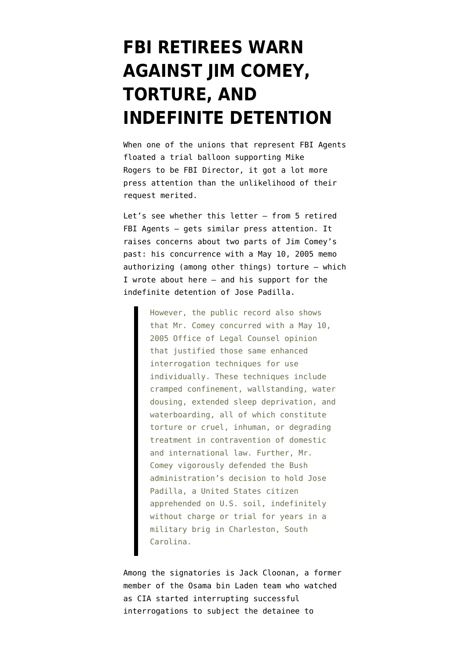## **[FBI RETIREES WARN](https://www.emptywheel.net/2013/07/05/fbi-retirees-warn-against-jim-comey-torture-and-indefinite-detention/) [AGAINST JIM COMEY,](https://www.emptywheel.net/2013/07/05/fbi-retirees-warn-against-jim-comey-torture-and-indefinite-detention/) [TORTURE, AND](https://www.emptywheel.net/2013/07/05/fbi-retirees-warn-against-jim-comey-torture-and-indefinite-detention/) [INDEFINITE DETENTION](https://www.emptywheel.net/2013/07/05/fbi-retirees-warn-against-jim-comey-torture-and-indefinite-detention/)**

When one of the unions that represent FBI Agents [floated a trial balloon supporting Mike](http://www.emptywheel.net/2013/05/06/g-men-want-mike-rogers-to-lead-fbi/) [Rogers](http://www.emptywheel.net/2013/05/06/g-men-want-mike-rogers-to-lead-fbi/) to be FBI Director, it got a lot more press attention than the unlikelihood of their request merited.

Let's see whether [this letter](http://www.humanrightsfirst.org/wp-content/uploads/20130703ComeyNominationLetter.pdf) — from 5 retired FBI Agents — gets similar press attention. It [raises concerns](http://www.emptywheel.net/2013/05/29/when-nyt-accused-jim-comey-of-approving-torture/) about two parts of Jim Comey's past: his concurrence with a May 10, 2005 memo authorizing (among other things) torture — which [I wrote about here](http://www.emptywheel.net/2013/05/29/when-nyt-accused-jim-comey-of-approving-torture/) — and his support for the indefinite detention of Jose Padilla.

> However, the public record also shows that Mr. Comey concurred with a May 10, 2005 Office of Legal Counsel opinion that justified those same enhanced interrogation techniques for use individually. These techniques include cramped confinement, wallstanding, water dousing, extended sleep deprivation, and waterboarding, all of which constitute torture or cruel, inhuman, or degrading treatment in contravention of domestic and international law. Further, Mr. Comey vigorously defended the Bush administration's decision to hold Jose Padilla, a United States citizen apprehended on U.S. soil, indefinitely without charge or trial for years in a military brig in Charleston, South Carolina.

Among the signatories is Jack Cloonan, a former member of the Osama bin Laden team who [watched](http://www.pbs.org/wgbh/pages/frontline/torture/interviews/cloonan.html) as CIA started interrupting successful interrogations to subject the detainee to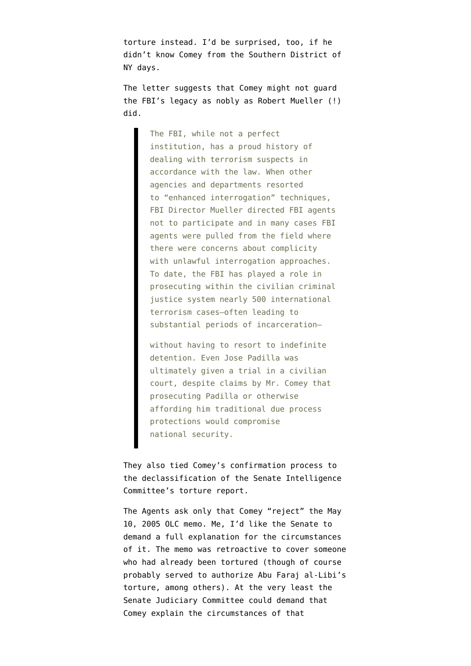torture instead. I'd be surprised, too, if he didn't know Comey from the Southern District of NY days.

The letter suggests that Comey might not guard the FBI's legacy as nobly as Robert Mueller (!) did.

> The FBI, while not a perfect institution, has a proud history of dealing with terrorism suspects in accordance with the law. When other agencies and departments resorted to "enhanced interrogation" techniques, FBI Director Mueller directed FBI agents not to participate and in many cases FBI agents were pulled from the field where there were concerns about complicity with unlawful interrogation approaches. To date, the FBI has played a role in prosecuting within the civilian criminal justice system nearly 500 international terrorism cases–often leading to substantial periods of incarceration—

without having to resort to indefinite detention. Even Jose Padilla was ultimately given a trial in a civilian court, despite claims by Mr. Comey that prosecuting Padilla or otherwise affording him traditional due process protections would compromise national security.

They also tied Comey's confirmation process to the declassification of the Senate Intelligence Committee's torture report.

The Agents ask only that Comey "reject" the May 10, 2005 OLC memo. Me, I'd like the Senate to demand a full explanation for the circumstances of it. The memo was [retroactive to cover someone](http://www.emptywheel.net/2009/06/06/the-may-10-2005-opinions-were-retrospective/) who had already been tortured (though of course probably served to authorize Abu Faraj al-Libi's torture, among others). At the very least the Senate Judiciary Committee could demand that Comey explain the circumstances of that